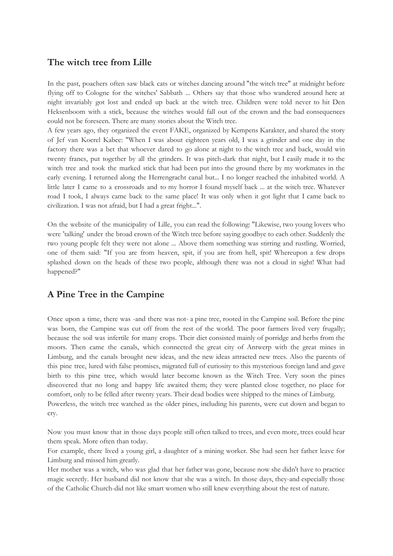## **The witch tree from Lille**

In the past, poachers often saw black cats or witches dancing around "the witch tree" at midnight before flying off to Cologne for the witches' Sabbath ... Others say that those who wandered around here at night invariably got lost and ended up back at the witch tree. Children were told never to hit Den Heksenboom with a stick, because the witches would fall out of the crown and the bad consequences could not be foreseen. There are many stories about the Witch tree.

A few years ago, they organized the event FAKE, organized by Kempens Karakter, and shared the story of Jef van Koerel Kabee: "When I was about eighteen years old, I was a grinder and one day in the factory there was a bet that whoever dared to go alone at night to the witch tree and back, would win twenty francs, put together by all the grinders. It was pitch-dark that night, but I easily made it to the witch tree and took the marked stick that had been put into the ground there by my workmates in the early evening. I returned along the Herrengracht canal but... I no longer reached the inhabited world. A little later I came to a crossroads and to my horror I found myself back ... at the witch tree. Whatever road I took, I always came back to the same place! It was only when it got light that I came back to civilization. I was not afraid, but I had a great fright...".

On the website of the municipality of Lille, you can read the following: "Likewise, two young lovers who were 'talking' under the broad crown of the Witch tree before saying goodbye to each other. Suddenly the two young people felt they were not alone ... Above them something was stirring and rustling. Worried, one of them said: "If you are from heaven, spit, if you are from hell, spit! Whereupon a few drops splashed down on the heads of these two people, although there was not a cloud in sight! What had happened?"

## **A Pine Tree in the Campine**

Once upon a time, there was -and there was not- a pine tree, rooted in the Campine soil. Before the pine was born, the Campine was cut off from the rest of the world. The poor farmers lived very frugally; because the soil was infertile for many crops. Their diet consisted mainly of porridge and herbs from the moors. Then came the canals, which connected the great city of Antwerp with the great mines in Limburg, and the canals brought new ideas, and the new ideas attracted new trees. Also the parents of this pine tree, lured with false promises, migrated full of curiosity to this mysterious foreign land and gave birth to this pine tree, which would later become known as the Witch Tree. Very soon the pines discovered that no long and happy life awaited them; they were planted close together, no place for comfort, only to be felled after twenty years. Their dead bodies were shipped to the mines of Limburg. Powerless, the witch tree watched as the older pines, including his parents, were cut down and began to cry.

Now you must know that in those days people still often talked to trees, and even more, trees could hear them speak. More often than today.

For example, there lived a young girl, a daughter of a mining worker. She had seen her father leave for Limburg and missed him greatly.

Her mother was a witch, who was glad that her father was gone, because now she didn't have to practice magic secretly. Her husband did not know that she was a witch. In those days, they-and especially those of the Catholic Church-did not like smart women who still knew everything about the rest of nature.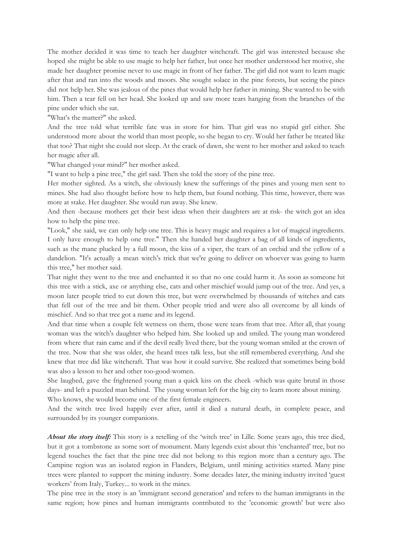The mother decided it was time to teach her daughter witchcraft. The girl was interested because she hoped she might be able to use magic to help her father, but once her mother understood her motive, she made her daughter promise never to use magic in front of her father. The girl did not want to learn magic after that and ran into the woods and moors. She sought solace in the pine forests, but seeing the pines did not help her. She was jealous of the pines that would help her father in mining. She wanted to be with him. Then a tear fell on her head. She looked up and saw more tears hanging from the branches of the pine under which she sat.

"What's the matter?" she asked.

And the tree told what terrible fate was in store for him. That girl was no stupid girl either. She understood more about the world than most people, so she began to cry. Would her father be treated like that too? That night she could not sleep. At the crack of dawn, she went to her mother and asked to teach her magic after all.

"What changed your mind?" her mother asked.

"I want to help a pine tree," the girl said. Then she told the story of the pine tree.

Her mother sighted. As a witch, she obviously knew the sufferings of the pines and young men sent to mines. She had also thought before how to help them, but found nothing. This time, however, there was more at stake. Her daughter. She would run away. She knew.

And then -because mothers get their best ideas when their daughters are at risk- the witch got an idea how to help the pine tree.

"Look," she said, we can only help one tree. This is heavy magic and requires a lot of magical ingredients. I only have enough to help one tree." Then she handed her daughter a bag of all kinds of ingredients, such as the mane plucked by a full moon, the kiss of a viper, the tears of an orchid and the yellow of a dandelion. "It's actually a mean witch's trick that we're going to deliver on whoever was going to harm this tree," her mother said.

That night they went to the tree and enchanted it so that no one could harm it. As soon as someone hit this tree with a stick, axe or anything else, cats and other mischief would jump out of the tree. And yes, a moon later people tried to cut down this tree, but were overwhelmed by thousands of witches and cats that fell out of the tree and bit them. Other people tried and were also all overcome by all kinds of mischief. And so that tree got a name and its legend.

And that time when a couple felt wetness on them, those were tears from that tree. After all, that young woman was the witch's daughter who helped him. She looked up and smiled. The young man wondered from where that rain came and if the devil really lived there, but the young woman smiled at the crown of the tree. Now that she was older, she heard trees talk less, but she still remembered everything. And she knew that tree did like witchcraft. That was how it could survive. She realized that sometimes being bold was also a lesson to her and other too-good-women.

She laughed, gave the frightened young man a quick kiss on the cheek -which was quite brutal in those days- and left a puzzled man behind. The young woman left for the big city to learn more about mining. Who knows, she would become one of the first female engineers.

And the witch tree lived happily ever after, until it died a natural death, in complete peace, and surrounded by its younger companions.

*About the story itself:* This story is a retelling of the 'witch tree' in Lille. Some years ago, this tree died, but it got a tombstone as some sort of monument. Many legends exist about this 'enchanted' tree, but no legend touches the fact that the pine tree did not belong to this region more than a century ago. The Campine region was an isolated region in Flanders, Belgium, until mining activities started. Many pine trees were planted to support the mining industry. Some decades later, the mining industry invited 'guest workers' from Italy, Turkey... to work in the mines.

The pine tree in the story is an 'immigrant second generation' and refers to the human immigrants in the same region; how pines and human immigrants contributed to the 'economic growth' but were also